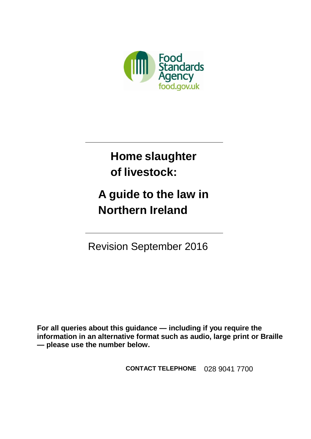

**Home slaughter of livestock:**

**A guide to the law in Northern Ireland**

Revision September 2016

**For all queries about this guidance — including if you require the information in an alternative format such as audio, large print or Braille — please use the number below.**

**CONTACT TELEPHONE** 028 9041 7700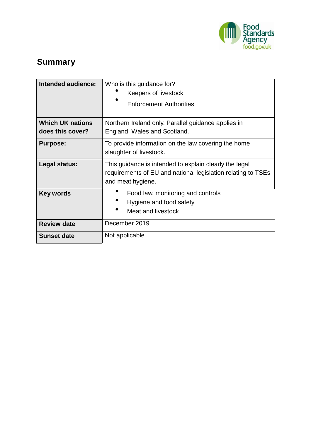

# **Summary**

| Intended audience:                          | Who is this guidance for?<br>Keepers of livestock<br><b>Enforcement Authorities</b>                                                         |  |
|---------------------------------------------|---------------------------------------------------------------------------------------------------------------------------------------------|--|
| <b>Which UK nations</b><br>does this cover? | Northern Ireland only. Parallel guidance applies in<br>England, Wales and Scotland.                                                         |  |
| <b>Purpose:</b>                             | To provide information on the law covering the home<br>slaughter of livestock.                                                              |  |
| Legal status:                               | This guidance is intended to explain clearly the legal<br>requirements of EU and national legislation relating to TSEs<br>and meat hygiene. |  |
| Key words                                   | Food law, monitoring and controls<br>Hygiene and food safety<br><b>Meat and livestock</b>                                                   |  |
| <b>Review date</b>                          | December 2019                                                                                                                               |  |
| <b>Sunset date</b>                          | Not applicable                                                                                                                              |  |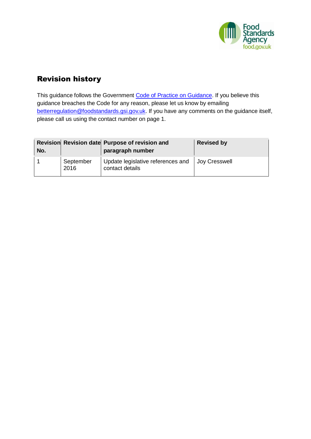

## <span id="page-2-0"></span>Revision history

This guidance follows the Government Code of Practice on Guidance. If you believe this guidance breaches the Code for any reason, please let us know by emailing [betterregulation@foodstandards.gsi.gov.uk.](mailto:betterregulation@foodstandards.gsi.gov.uk) If you have any comments on the guidance itself, please call us using the contact number on page 1.

| No. |                   | Revision Revision date Purpose of revision and<br>paragraph number | <b>Revised by</b> |
|-----|-------------------|--------------------------------------------------------------------|-------------------|
|     | September<br>2016 | Update legislative references and Joy Cresswell<br>contact details |                   |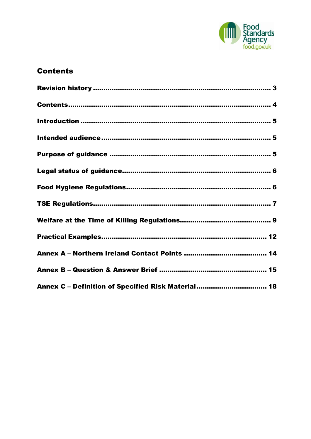

## <span id="page-3-0"></span>**Contents**

| Annex C - Definition of Specified Risk Material 18 |
|----------------------------------------------------|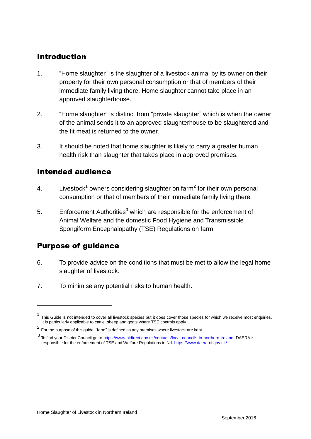## <span id="page-4-0"></span>Introduction

- 1. "Home slaughter" is the slaughter of a livestock animal by its owner on their property for their own personal consumption or that of members of their immediate family living there. Home slaughter cannot take place in an approved slaughterhouse.
- 2. "Home slaughter" is distinct from "private slaughter" which is when the owner of the animal sends it to an approved slaughterhouse to be slaughtered and the fit meat is returned to the owner.
- 3. It should be noted that home slaughter is likely to carry a greater human health risk than slaughter that takes place in approved premises.

### <span id="page-4-1"></span>Intended audience

- 4. Livestock<sup>1</sup> owners considering slaughter on farm<sup>2</sup> for their own personal consumption or that of members of their immediate family living there.
- 5. Enforcement Authorities<sup>3</sup> which are responsible for the enforcement of Animal Welfare and the domestic Food Hygiene and Transmissible Spongiform Encephalopathy (TSE) Regulations on farm.

## <span id="page-4-2"></span>Purpose of guidance

- 6. To provide advice on the conditions that must be met to allow the legal home slaughter of livestock.
- 7. To minimise any potential risks to human health.

<sup>1</sup> This Guide is not intended to cover all livestock species but it does cover those species for which we receive most enquiries. It is particularly applicable to cattle, sheep and goats where TSE controls apply

 $^2$  For the purpose of this guide, "farm" is defined as any premises where livestock are kept.

<sup>3&</sup>lt;br>To find your District Council go to <u>https://www.nidirect.gov.uk/contacts/local-councils-in-northern-ireland</u>. DAERA is responsible for the enforcement of TSE and Welfare Regulations in N.I[. https://www.daera-ni.gov.uk/](https://www.daera-ni.gov.uk/)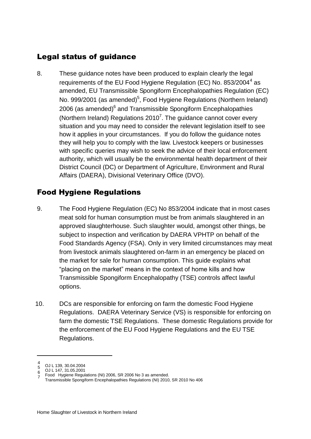## <span id="page-5-0"></span>Legal status of guidance

8. These guidance notes have been produced to explain clearly the legal requirements of the EU Food Hygiene Regulation (EC) No. 853/2004<sup>4</sup> as amended, EU Transmissible Spongiform Encephalopathies Regulation (EC) No. 999/2001 (as amended)<sup>5</sup>, Food Hygiene Regulations (Northern Ireland) 2006 (as amended)<sup>6</sup> and Transmissible Spongiform Encephalopathies (Northern Ireland) Regulations 2010<sup>7</sup>. The guidance cannot cover every situation and you may need to consider the relevant legislation itself to see how it applies in your circumstances. If you do follow the guidance notes they will help you to comply with the law. Livestock keepers or businesses with specific queries may wish to seek the advice of their local enforcement authority, which will usually be the environmental health department of their District Council (DC) or Department of Agriculture, Environment and Rural Affairs (DAERA), Divisional Veterinary Office (DVO).

## <span id="page-5-1"></span>Food Hygiene Regulations

- 9. The Food Hygiene Regulation (EC) No 853/2004 indicate that in most cases meat sold for human consumption must be from animals slaughtered in an approved slaughterhouse. Such slaughter would, amongst other things, be subject to inspection and verification by DAERA VPHTP on behalf of the Food Standards Agency (FSA). Only in very limited circumstances may meat from livestock animals slaughtered on-farm in an emergency be placed on the market for sale for human consumption. This guide explains what "placing on the market" means in the context of home kills and how Transmissible Spongiform Encephalopathy (TSE) controls affect lawful options.
- 10. DCs are responsible for enforcing on farm the domestic Food Hygiene Regulations. DAERA Veterinary Service (VS) is responsible for enforcing on farm the domestic TSE Regulations. These domestic Regulations provide for the enforcement of the EU Food Hygiene Regulations and the EU TSE Regulations.

<sup>4&</sup>lt;br>5 OJ L 139, 30.04.2004

 $6^{\circ}$  OJ L 147, 31.05.2001

Food Hygiene Regulations (NI) 2006, SR 2006 No 3 as amended.<br>7. Free missible Consuitant Encaptale at this Parulations (NI) 2016

Transmissible Spongiform Encephalopathies Regulations (NI) 2010, SR 2010 No 406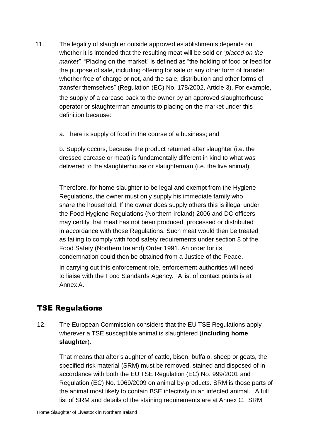11. The legality of slaughter outside approved establishments depends on whether it is intended that the resulting meat will be sold or "*placed on the market".* "Placing on the market" is defined as "the holding of food or feed for the purpose of sale, including offering for sale or any other form of transfer, whether free of charge or not, and the sale, distribution and other forms of transfer themselves" (Regulation (EC) No. 178/2002, Article 3). For example, the supply of a carcase back to the owner by an approved slaughterhouse operator or slaughterman amounts to placing on the market under this definition because:

a. There is supply of food in the course of a business; and

b. Supply occurs, because the product returned after slaughter (i.e. the dressed carcase or meat) is fundamentally different in kind to what was delivered to the slaughterhouse or slaughterman (i.e. the live animal).

Therefore, for home slaughter to be legal and exempt from the Hygiene Regulations, the owner must only supply his immediate family who share the household. If the owner does supply others this is illegal under the Food Hygiene Regulations (Northern Ireland) 2006 and DC officers may certify that meat has not been produced, processed or distributed in accordance with those Regulations. Such meat would then be treated as failing to comply with food safety requirements under section 8 of the Food Safety (Northern Ireland) Order 1991. An order for its condemnation could then be obtained from a Justice of the Peace.

In carrying out this enforcement role, enforcement authorities will need to liaise with the Food Standards Agency. A list of contact points is at Annex A.

## <span id="page-6-0"></span>TSE Regulations

12. The European Commission considers that the EU TSE Regulations apply wherever a TSE susceptible animal is slaughtered (**including home slaughter**).

That means that after slaughter of cattle, bison, buffalo, sheep or goats, the specified risk material (SRM) must be removed, stained and disposed of in accordance with both the EU TSE Regulation (EC) No. 999/2001 and Regulation (EC) No. 1069/2009 on animal by-products. SRM is those parts of the animal most likely to contain BSE infectivity in an infected animal. A full list of SRM and details of the staining requirements are at Annex C. SRM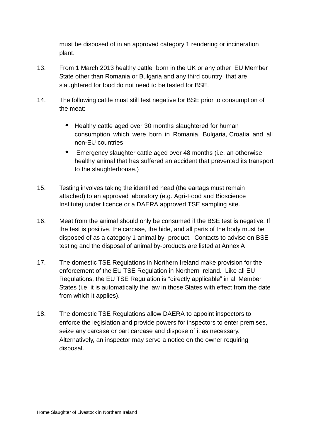must be disposed of in an approved category 1 rendering or incineration plant.

- 13. From 1 March 2013 healthy cattle born in the UK or any other EU Member State other than Romania or Bulgaria and any third country that are slaughtered for food do not need to be tested for BSE.
- 14. The following cattle must still test negative for BSE prior to consumption of the meat:
	- Healthy cattle aged over 30 months slaughtered for human consumption which were born in Romania, Bulgaria, Croatia and all non-EU countries
	- Emergency slaughter cattle aged over 48 months (i.e. an otherwise healthy animal that has suffered an accident that prevented its transport to the slaughterhouse.)
- 15. Testing involves taking the identified head (the eartags must remain attached) to an approved laboratory (e.g. Agri-Food and Bioscience Institute) under licence or a DAERA approved TSE sampling site.
- 16. Meat from the animal should only be consumed if the BSE test is negative. If the test is positive, the carcase, the hide, and all parts of the body must be disposed of as a category 1 animal by- product. Contacts to advise on BSE testing and the disposal of animal by-products are listed at Annex A
- 17. The domestic TSE Regulations in Northern Ireland make provision for the enforcement of the EU TSE Regulation in Northern Ireland. Like all EU Regulations, the EU TSE Regulation is "directly applicable" in all Member States (i.e. it is automatically the law in those States with effect from the date from which it applies).
- 18. The domestic TSE Regulations allow DAERA to appoint inspectors to enforce the legislation and provide powers for inspectors to enter premises, seize any carcase or part carcase and dispose of it as necessary. Alternatively, an inspector may serve a notice on the owner requiring disposal.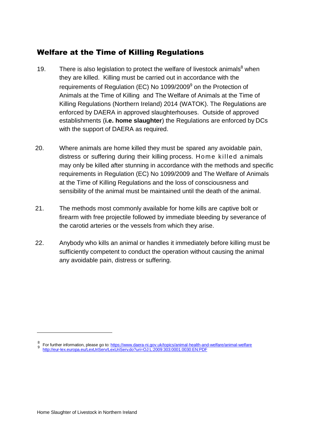## <span id="page-8-0"></span>Welfare at the Time of Killing Regulations

- 19. There is also legislation to protect the welfare of livestock animals $<sup>8</sup>$  when</sup> they are killed. Killing must be carried out in accordance with the requirements of Regulation (EC) No 1099/2009<sup>9</sup> on the Protection of Animals at the Time of Killing and The Welfare of Animals at the Time of Killing Regulations (Northern Ireland) 2014 (WATOK). The Regulations are enforced by DAERA in approved slaughterhouses. Outside of approved establishments (**i.e. home slaughter**) the Regulations are enforced by DCs with the support of DAERA as required.
- 20. Where animals are home killed they must be spared any avoidable pain, distress or suffering during their killing process. Home killed a nimals may only be killed after stunning in accordance with the methods and specific requirements in Regulation (EC) No 1099/2009 and The Welfare of Animals at the Time of Killing Regulations and the loss of consciousness and sensibility of the animal must be maintained until the death of the animal.
- 21. The methods most commonly available for home kills are captive bolt or firearm with free projectile followed by immediate bleeding by severance of the carotid arteries or the vessels from which they arise.
- 22. Anybody who kills an animal or handles it immediately before killing must be sufficiently competent to conduct the operation without causing the animal any avoidable pain, distress or suffering.

<sup>8</sup> For further information, please go to: <https://www.daera-ni.gov.uk/topics/animal-health-and-welfare/animal-welfare> [http://eur-lex.europa.eu/LexUriServ/LexUriServ.do?uri=OJ:L:2009:303:0001:0030:EN:PDF](http://eur-lex.europa.eu/LexUriServ/LexUriServ.do?uri=OJ%3AL%3A2009%3A303%3A0001%3A0030%3AEN%3APDF)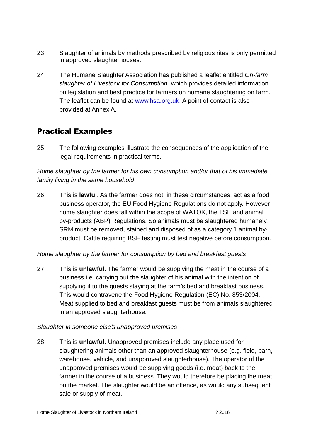- 23. Slaughter of animals by methods prescribed by religious rites is only permitted in approved slaughterhouses.
- 24. The Humane Slaughter Association has published a leaflet entitled *On-farm slaughter of Livestock for Consumption,* which provides detailed information on legislation and best practice for farmers on humane slaughtering on farm. The leaflet can be found at [www.hsa.org.uk.](http://www.hsa.org.uk/) A point of contact is also provided at Annex A.

## <span id="page-9-0"></span>Practical Examples

25. The following examples illustrate the consequences of the application of the legal requirements in practical terms.

### *Home slaughter by the farmer for his own consumption and/or that of his immediate family living in the same household*

26. This is **lawful**. As the farmer does not, in these circumstances, act as a food business operator, the EU Food Hygiene Regulations do not apply. However home slaughter does fall within the scope of WATOK, the TSE and animal by-products (ABP) Regulations. So animals must be slaughtered humanely, SRM must be removed, stained and disposed of as a category 1 animal byproduct. Cattle requiring BSE testing must test negative before consumption.

#### *Home slaughter by the farmer for consumption by bed and breakfast guests*

27. This is **unlawful**. The farmer would be supplying the meat in the course of a business i.e. carrying out the slaughter of his animal with the intention of supplying it to the guests staying at the farm's bed and breakfast business. This would contravene the Food Hygiene Regulation (EC) No. 853/2004. Meat supplied to bed and breakfast guests must be from animals slaughtered in an approved slaughterhouse.

#### *Slaughter in someone else's unapproved premises*

28. This is **unlawful**. Unapproved premises include any place used for slaughtering animals other than an approved slaughterhouse (e.g. field, barn, warehouse, vehicle, and unapproved slaughterhouse). The operator of the unapproved premises would be supplying goods (i.e. meat) back to the farmer in the course of a business. They would therefore be placing the meat on the market. The slaughter would be an offence, as would any subsequent sale or supply of meat.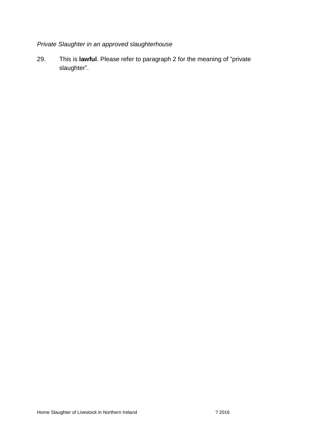## *Private Slaughter in an approved slaughterhouse*

29. This is **lawful**. Please refer to paragraph 2 for the meaning of "private slaughter".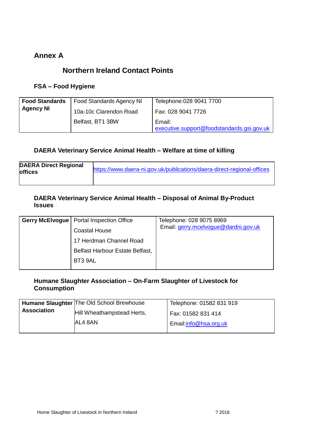### <span id="page-11-0"></span>**Annex A**

## **Northern Ireland Contact Points**

#### **FSA – Food Hygiene**

| <b>Food Standards</b> | <b>Food Standards Agency NI</b> | Telephone: 028 9041 7700                             |
|-----------------------|---------------------------------|------------------------------------------------------|
| <b>Agency NI</b>      | 10a-10c Clarendon Road          | Fax: 028 9041 7726                                   |
|                       | Belfast, BT1 3BW                | Email:<br>executive.support@foodstandards.gsi.gov.uk |

#### **DAERA Veterinary Service Animal Health – Welfare at time of killing**

| <b>DAERA Direct Regional</b> |                                                                        |
|------------------------------|------------------------------------------------------------------------|
| <b>offices</b>               | https://www.daera-ni.gov.uk/publications/daera-direct-regional-offices |
|                              |                                                                        |

#### **DAERA Veterinary Service Animal Health – Disposal of Animal By-Product Issues**

| <b>Gerry McElvogue   Portal Inspection Office</b> | Telephone: 028 9075 8969             |
|---------------------------------------------------|--------------------------------------|
| <b>Coastal House</b>                              | Email: gerry.mcelvoque@dardni.gov.uk |
| 17 Herdman Channel Road                           |                                      |
| Belfast Harbour Estate Belfast,                   |                                      |
| BT3 9AL                                           |                                      |
|                                                   |                                      |

#### **Humane Slaughter Association – On-Farm Slaughter of Livestock for Consumption**

|                    | Humane Slaughter The Old School Brewhouse | Telephone: 01582 831 919 |
|--------------------|-------------------------------------------|--------------------------|
| <b>Association</b> | Hill Wheathampstead Herts,                | Fax: 01582 831 414       |
|                    | AL4 8AN                                   | Email:info@hsa.org.uk    |
|                    |                                           |                          |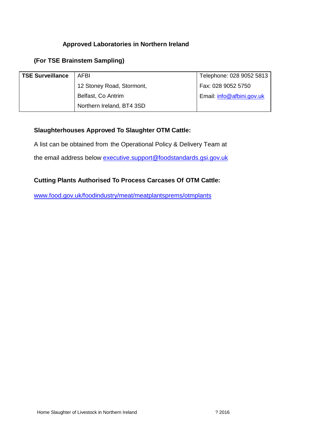#### **Approved Laboratories in Northern Ireland**

#### **(For TSE Brainstem Sampling)**

| <b>TSE Surveillance</b> | AFBI                      | Telephone: 028 9052 5813  |
|-------------------------|---------------------------|---------------------------|
|                         | 12 Stoney Road, Stormont, | Fax: 028 9052 5750        |
|                         | Belfast, Co Antrim        | Email: info@afbini.gov.uk |
|                         | Northern Ireland, BT4 3SD |                           |

#### **Slaughterhouses Approved To Slaughter OTM Cattle:**

A list can be obtained from the Operational Policy & Delivery Team at

the email address below [executive.support@foodstandards.gsi.gov.uk](mailto:executive.support@foodstandards.gsi.gov.uk)

#### **Cutting Plants Authorised To Process Carcases Of OTM Cattle:**

[www.food.gov.uk/foodindustry/meat/meatplantsprems/otmplants](http://www.food.gov.uk/foodindustry/meat/meatplantsprems/otmplants)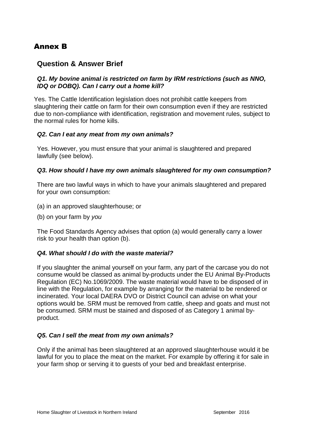## <span id="page-13-0"></span>Annex B

### **Question & Answer Brief**

#### *Q1. My bovine animal is restricted on farm by IRM restrictions (such as NNO, IDQ or DOBQ). Can I carry out a home kill?*

Yes. The Cattle Identification legislation does not prohibit cattle keepers from slaughtering their cattle on farm for their own consumption even if they are restricted due to non-compliance with identification, registration and movement rules, subject to the normal rules for home kills.

#### *Q2. Can I eat any meat from my own animals?*

Yes. However, you must ensure that your animal is slaughtered and prepared lawfully (see below).

#### *Q3. How should I have my own animals slaughtered for my own consumption?*

There are two lawful ways in which to have your animals slaughtered and prepared for your own consumption:

- (a) in an approved slaughterhouse; or
- (b) on your farm by *you*

The Food Standards Agency advises that option (a) would generally carry a lower risk to your health than option (b).

#### *Q4. What should I do with the waste material?*

If you slaughter the animal yourself on your farm, any part of the carcase you do not consume would be classed as animal by-products under the EU Animal By-Products Regulation (EC) No.1069/2009. The waste material would have to be disposed of in line with the Regulation, for example by arranging for the material to be rendered or incinerated. Your local DAERA DVO or District Council can advise on what your options would be. SRM must be removed from cattle, sheep and goats and must not be consumed. SRM must be stained and disposed of as Category 1 animal byproduct.

#### *Q5. Can I sell the meat from my own animals?*

Only if the animal has been slaughtered at an approved slaughterhouse would it be lawful for you to place the meat on the market. For example by offering it for sale in your farm shop or serving it to guests of your bed and breakfast enterprise.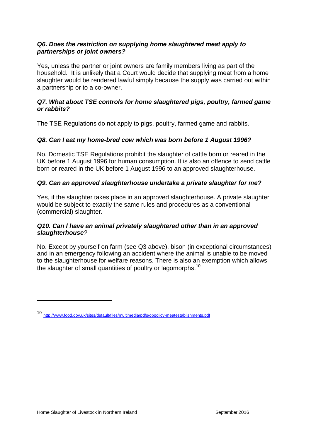#### *Q6. Does the restriction on supplying home slaughtered meat apply to partnerships or joint owners?*

Yes, unless the partner or joint owners are family members living as part of the household. It is unlikely that a Court would decide that supplying meat from a home slaughter would be rendered lawful simply because the supply was carried out within a partnership or to a co-owner.

#### *Q7. What about TSE controls for home slaughtered pigs, poultry, farmed game or rabbits?*

The TSE Regulations do not apply to pigs, poultry, farmed game and rabbits.

#### *Q8. Can I eat my home-bred cow which was born before 1 August 1996?*

No. Domestic TSE Regulations prohibit the slaughter of cattle born or reared in the UK before 1 August 1996 for human consumption. It is also an offence to send cattle born or reared in the UK before 1 August 1996 to an approved slaughterhouse.

#### *Q9. Can an approved slaughterhouse undertake a private slaughter for me?*

Yes, if the slaughter takes place in an approved slaughterhouse. A private slaughter would be subject to exactly the same rules and procedures as a conventional (commercial) slaughter.

#### *Q10. Can l have an animal privately slaughtered other than in an approved slaughterhouse?*

No. Except by yourself on farm (see Q3 above), bison (in exceptional circumstances) and in an emergency following an accident where the animal is unable to be moved to the slaughterhouse for welfare reasons. There is also an exemption which allows the slaughter of small quantities of poultry or lagomorphs.<sup>10</sup>

<sup>10</sup> <http://www.food.gov.uk/sites/default/files/multimedia/pdfs/oppolicy-meatestablishments.pdf>